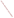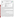**UNITED STATES ENVIRONMENTAL PROTECTION AGENCY**  Office of Research and Development INITED STAT Washington, D.C. 20460 **TAL PROTE ENVIRONMENTAL TECHNOLOGY VERIFICATION PROGRAM VERIFICATION STATEMENT**  TECHNOLOGY TYPE: **FIELD PORTABLE X-RAY FLUORESCENCE ANALYZER**  APPLICATION: **MEASUREMENT OF METALS IN SOIL**  TECHNOLOGY NAME: **X-MET 920-MP**  COMPANY: **METOREX INC.**  ADDRESS: **PRINCETON CROSSROADS CORPORATE CENTER P.O. BOX 3540 PRINCETON, NJ 08543-3540**  PHONE: **(609) 406-9000** 

The U.S. Environmental Protection Agency (EPA) has created a program to facilitate the deployment of innovative technologies through performance verification and information dissemination. The goal of the Environmental Technology Verification (ETV) Program is to further environmental protection by substantially accelerating the acceptance and use of improved and more cost-effective technologies. The ETV Program is intended to assist and inform those involved in the design, distribution, permitting, and purchase of environmental technologies. This document summarizes the results of a demonstration of the Metorex X-MET 920-MP.

## **PROGRAM OPERATION**

The EPA, in partnership with recognized testing organizations, objectively and systematically evaluates the performance of innovative technologies. Together, with the full participation of the technology developer, they develop plans, conduct tests, collect and analyze data, and report findings. The evaluations are conducted according to a rigorous demonstration plan and established protocols for quality assurance. The EPA's National Exposure Research Laboratory, which conducts demonstrations of field characterization and monitoring technologies, selected PRC Environmental Management, Inc., as the testing organization for the performance verification of field portable X-ray fluorescence (FPXRF) analyzers.

## **DEMONSTRATION DESCRIPTION**

In April 1995, the performance of seven FPXRF analyzers was determined under field conditions. Each analyzer was independently evaluated by comparing field analysis results to those obtained using approved reference methods. Standard reference materials (SRM) and performance evaluation (PE) samples also were used to independently assess the accuracy and comparability of each instrument.

The demonstration was designed to detect and measure a series of inorganic analytes in soil. The primary target analytes were arsenic, barium, chromium, copper, lead, and zinc; nickel, iron, cadmium, and antimony were secondary analytes. The demonstration sites were located in Iowa (the RV Hopkins site) and Washington (the ASARCO site). These sites were chosen because they exhibit a wide range of concentrations for most of the target metals and are located in different climatological regions of the United States; combined, they exhibit three distinct soil types: sand, clay, and loam. The conditions at these sites are representative of those environments under which the technology would be expected to operate. Details of the demonstration, including a data summary and

iii

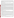discussion of results, may be found in the report entitled "Environmental Technology Verification Report, Field Portable X-ray Fluorescence Analyzer, Metorex X-MET 920-MP." The EPA document number for this report is EPA/600/R-97/151.

The EPA SW-846 Method 6200 was tested and validated using the data derived from this demonstration. This method may be used to support the general application of FPXRF for environmental analysis.

## **TECHNOLOGY DESCRIPTION**

This analyzer operates on the principle of energy dispersive X-ray fluorescence spectroscopy where the characteristic energy components of the excited X-ray spectrum are analyzed directly by an energy proportional response in an X-ray detector. Energy dispersion affords a highly efficient, full-spectrum measurement which enables the use of low intensity excitation sources (such as radioisotopes) and compact battery-powered, fieldportable electronics. The FPXRF instruments are designed to provide rapid analysis of metals in soil. This information allows investigation and remediation decisions to be made on-site and reduces the number of samples that need to be submitted for laboratory analysis. In the operation of these instruments, the user must be aware that FPXRF analyzers do not respond well to chromium and that field detection limits may be 5 to 10 times greater than conventional laboratory methods. As with all field collection programs, a portion of the samples should be sent to a laboratory for confirmatory analyses.

The X-MET 920-MP is designed to produce quantitative data on metals in soils, sludges, and other solids. The X-MET 920-MP consists of a laptop computer, an electronics unit, and a surface analysis probe system (SAPS). The electronics is housed in a rugged, weatherproof, self-contained case, weighing about 5 pounds that can be operated from battery power up to 8 hours. The SAPS is designed to house one excitation source (cadmium-109 for this demonstration) and a gas-filled proportional counter detector. The SAPS weighs about 3 pounds and is specifically designed for *in situ* analysis, but can be adapted for measurement of samples in cups. The single excitation source limits the number of metals that can be quantified. The X-MET 920-MP is operated and calibrated using the "X-MET" software to analyze samples with an empirical calibration. Training and field experience is necessary to successfully derive empirical calibration curves and to operate the "X-MET" software. The X-MET 920-MP reported the analytes arsenic, barium, copper, chromium, lead, nickel, and zinc for this demonstration using source count times between 30 and 180 seconds. At the time of the demonstration, the cost of the X-MET 920-MP with the SAPS probe and cadmium-109 source (including the laptop computer) was \$36,325, or it could be leased for \$3,633 per month.

## **VERIFICATION OF PERFORMANCE**

The performance characteristics of the X-MET 920-MP include the following:

- **Detection limits:** Precision-based detection limits were determined by collecting 10 replicate measurements on site-specific soil samples with metals concentrations 2 to 5 times the expected MDLs. The results were less than or equal to 50 milligrams per kilogram (mg/kg) for all analytes except barium (330 mg/kg) and chromium (115 mg/kg). Barium is normally analyzed using an americium-241 source; therefore, its detection limit was expected to be high. A value for nickel could not be determined because the soil concentration of this analyte was too low.
- **Throughput:** Average throughput was found to be between 8 and 14 analyses per hour, depending on count times. This rate only represents the analysis time since different personnel were used to prepare the samples.
- **Drift:** Based on an evaluation of results from periodic analysis of a site-specific control sample, with a few exceptions, drift was -15 to +15 percent. Lead and arsenic displayed the least drift at both sites.
- **Completeness:** The X-MET 920-MP produced results for 1,168 of the 1,260 samples for a completeness of 92.7 percent. This was less than the demonstration objective of 95 percent. Operator error and computer software and hardware problems reduced completeness. None of the data loss was caused by mechanical or electronic malfunctions of the analyzer.